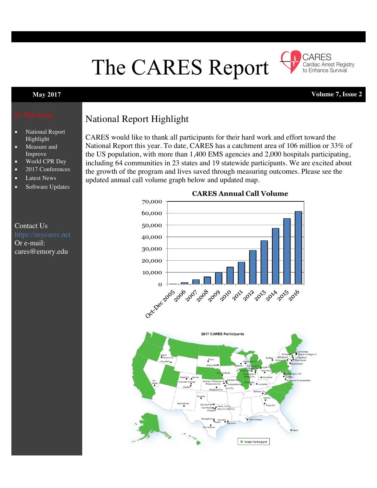# The CARES Report



**May 2017 Volume 7, Issue 2**

Cardiac Arrest Registry to Enhance Survival

CARES

- National Report Highlight
- Measure and Improve
- World CPR Day
- 2017 Conferences
- Latest News
- Software Updates

## Contact Us Or e-mail: cares@emory.edu

## National Report Highlight

CARES would like to thank all participants for their hard work and effort toward the National Report this year. To date, CARES has a catchment area of 106 million or 33% of the US population, with more than 1,400 EMS agencies and 2,000 hospitals participating, including 64 communities in 23 states and 19 statewide participants. We are excited about the growth of the program and lives saved through measuring outcomes. Please see the updated annual call volume graph below and updated map.

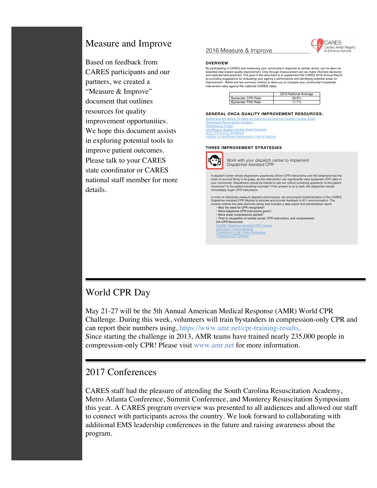## Measure and Improve

Based on feedback from CARES participants and our partners, we created a "Measure & Improve" document that outlines resources for quality improvement opportunities. We hope this document assists in exploring potential tools to improve patient outcomes. Please talk to your CARES state coordinator or CARES national staff member for more details.

#### 2016 Measure & Improve



#### **OVERVIEW**

By participating in CARES and measuring your community's response to cardiac arrest, you've taken an essential step toward quality improvement. Only through measurement can we make informed decisions and replicate best practices. The goal of this document is to supplement the CARES 2016 Annual Report by providing suggestions for evaluating your agency's performance and identifying potential areas for<br>improvement. Below are two summary metrics to allow you to compare your community's bystander<br>intervention rates agains

|                           | 2016 National Average |
|---------------------------|-----------------------|
| <b>Bystander CPR Rate</b> | $39.9\%$              |
| <b>Bystander PAD Rate</b> | 11 7%                 |

#### **GENERAL OHCA QUALITY IMPROVEMENT RESOURCES:**

Washington RA eBook: 10 Steps for Improving Survival from Sudden Cardiac Arrest Washington Resuscitation Academy HeartRescue Project **HeartRescue Sudden Cardiac Arrest Playbook** 2015 CPR & ECC Guidelines Institute for Healthcare Improvement: How to Improve

#### **THREE IMPROVEMENT STRATEGIES**

Telephone CPR Webinar



Work with your dispatch center to implement Dispatcher-Assisted CPR

A dispatch center whose dispatchers assertively deliver CPR instructions over the telephone has the<br>chain of survival firmly in its grasp, as this intervention can significantly raise bystander CPR rates in<br>your community.

In order to effectively measure dispatch performance, we recommend implementation of the CARES Dispatcher-Assisted CPR Module to educate and provide feedback to 911 communicators. The module collects the data elements below and includes a data export and standardized report. • Was the need for CPR recognized? • Were telephone-CPR instructions given? • Were chest compressions started? • Time to recognition of cardiac arrest, CPR instructions, and compressions DA-CPR Resources: SHARE Telephone-Assisted CPR Training Data Entry Training Webinar Data Entry Training Webinar<br>Dispatchers & Call-Takers Resources

#### World CPR Day

May 21-27 will be the 5th Annual American Medical Response (AMR) World CPR Challenge. During this week, volunteers will train bystanders in compression-only CPR and can report their numbers using, https://www.amr.net/cpr-training-results. Since starting the challenge in 2013, AMR teams have trained nearly 235,000 people in compression-only CPR! Please visit www.amr.net for more information.

#### 2017 Conferences

CARES staff had the pleasure of attending the South Carolina Resuscitation Academy, Metro Atlanta Conference, Summit Conference, and Monterey Resuscitation Symposium this year. A CARES program overview was presented to all audiences and allowed our staff to connect with participants across the country. We look forward to collaborating with additional EMS leadership conferences in the future and raising awareness about the program.